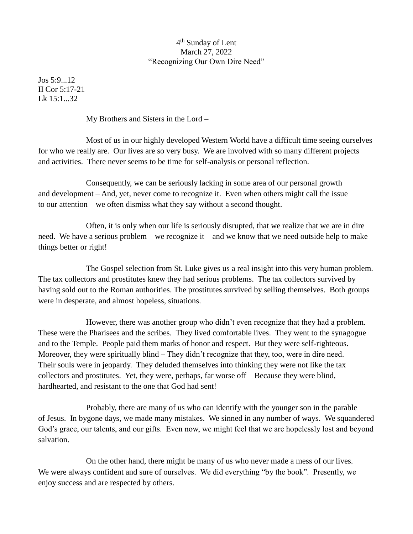## 4<sup>th</sup> Sunday of Lent March 27, 2022 "Recognizing Our Own Dire Need"

Jos 5:9...12 II Cor 5:17-21  $Lk$  15:1...32

My Brothers and Sisters in the Lord –

Most of us in our highly developed Western World have a difficult time seeing ourselves for who we really are. Our lives are so very busy. We are involved with so many different projects and activities. There never seems to be time for self-analysis or personal reflection.

Consequently, we can be seriously lacking in some area of our personal growth and development – And, yet, never come to recognize it. Even when others might call the issue to our attention – we often dismiss what they say without a second thought.

Often, it is only when our life is seriously disrupted, that we realize that we are in dire need. We have a serious problem – we recognize it – and we know that we need outside help to make things better or right!

The Gospel selection from St. Luke gives us a real insight into this very human problem. The tax collectors and prostitutes knew they had serious problems. The tax collectors survived by having sold out to the Roman authorities. The prostitutes survived by selling themselves. Both groups were in desperate, and almost hopeless, situations.

However, there was another group who didn't even recognize that they had a problem. These were the Pharisees and the scribes. They lived comfortable lives. They went to the synagogue and to the Temple. People paid them marks of honor and respect. But they were self-righteous. Moreover, they were spiritually blind – They didn't recognize that they, too, were in dire need. Their souls were in jeopardy. They deluded themselves into thinking they were not like the tax collectors and prostitutes. Yet, they were, perhaps, far worse off – Because they were blind, hardhearted, and resistant to the one that God had sent!

Probably, there are many of us who can identify with the younger son in the parable of Jesus. In bygone days, we made many mistakes. We sinned in any number of ways. We squandered God's grace, our talents, and our gifts. Even now, we might feel that we are hopelessly lost and beyond salvation.

On the other hand, there might be many of us who never made a mess of our lives. We were always confident and sure of ourselves. We did everything "by the book". Presently, we enjoy success and are respected by others.